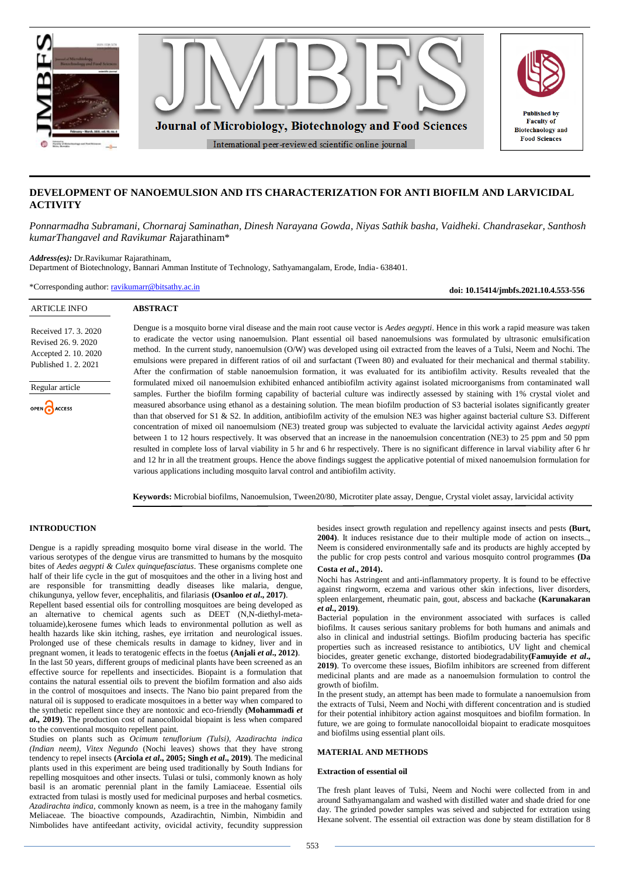

# **DEVELOPMENT OF NANOEMULSION AND ITS CHARACTERIZATION FOR ANTI BIOFILM AND LARVICIDAL ACTIVITY**

*Ponnarmadha Subramani, Chornaraj Saminathan, Dinesh Narayana Gowda, Niyas Sathik basha, Vaidheki. Chandrasekar, Santhosh kumarThangavel and Ravikumar R*ajarathinam\*

*Address(es):* Dr.Ravikumar Rajarathinam,

Department of Biotechnology, Bannari Amman Institute of Technology, Sathyamangalam, Erode, India- 638401.

\*Corresponding author: [ravikumarr@bitsathy.ac.in](mailto:ravikumarr@bitsathy.ac.in)

**ABSTRACT**

**doi: 10.15414/jmbfs.2021.10.4.553-556**

| Received 17, 3, 2020 |
|----------------------|
| Revised 26, 9, 2020  |
|                      |
| Accepted 2. 10. 2020 |
| Published 1, 2, 2021 |

ARTICLE INFO

Regular article

OPEN CACCESS

Dengue is a mosquito borne viral disease and the main root cause vector is *Aedes aegypti*. Hence in this work a rapid measure was taken to eradicate the vector using nanoemulsion. Plant essential oil based nanoemulsions was formulated by ultrasonic emulsification method. In the current study, nanoemulsion (O/W) was developed using oil extracted from the leaves of a Tulsi, Neem and Nochi. The emulsions were prepared in different ratios of oil and surfactant (Tween 80) and evaluated for their mechanical and thermal stability. After the confirmation of stable nanoemulsion formation, it was evaluated for its antibiofilm activity. Results revealed that the formulated mixed oil nanoemulsion exhibited enhanced antibiofilm activity against isolated microorganisms from contaminated wall samples. Further the biofilm forming capability of bacterial culture was indirectly assessed by staining with 1% crystal violet and measured absorbance using ethanol as a destaining solution. The mean biofilm production of S3 bacterial isolates significantly greater than that observed for S1 & S2. In addition, antibiofilm activity of the emulsion NE3 was higher against bacterial culture S3. Different concentration of mixed oil nanoemulsiom (NE3) treated group was subjected to evaluate the larvicidal activity against *Aedes aegypti* between 1 to 12 hours respectively. It was observed that an increase in the nanoemulsion concentration (NE3) to 25 ppm and 50 ppm resulted in complete loss of larval viability in 5 hr and 6 hr respectively. There is no significant difference in larval viability after 6 hr and 12 hr in all the treatment groups. Hence the above findings suggest the applicative potential of mixed nanoemulsion formulation for various applications including mosquito larval control and antibiofilm activity.

**Keywords:** Microbial biofilms, Nanoemulsion, Tween20/80, Microtiter plate assay, Dengue, Crystal violet assay, larvicidal activity

# **INTRODUCTION**

Dengue is a rapidly spreading mosquito borne viral disease in the world. The various serotypes of the dengue virus are transmitted to humans by the mosquito bites of *Aedes aegypti & Culex quinquefasciatus*. These organisms complete one half of their life cycle in the gut of mosquitoes and the other in a living host and are responsible for transmitting deadly diseases like malaria, dengue, chikungunya, yellow fever, encephalitis, and filariasis **(Osanloo** *et al***., 2017)**. Repellent based essential oils for controlling mosquitoes are being developed as an alternative to chemical agents such as DEET (N,N-diethyl-meta-

toluamide),kerosene fumes which leads to environmental pollution as well as health hazards like skin itching, rashes, eye irritation and neurological issues. Prolonged use of these chemicals results in damage to kidney, liver and in pregnant women, it leads to teratogenic effects in the foetus **(Anjali** *et al***., 2012)**. In the last 50 years, different groups of medicinal plants have been screened as an effective source for repellents and insecticides. Biopaint is a formulation that contains the natural essential oils to prevent the biofilm formation and also aids in the control of mosquitoes and insects. The Nano bio paint prepared from the natural oil is supposed to eradicate mosquitoes in a better way when compared to the synthetic repellent since they are nontoxic and eco-friendly **(Mohammadi** *et al.,* **2019)**. The production cost of nanocolloidal biopaint is less when compared to the conventional mosquito repellent paint.

Studies on plants such as *Ocimum tenuflorium (Tulsi), Azadirachta indica (Indian neem), Vitex Negundo* (Nochi leaves) shows that they have strong tendency to repel insects **(Arciola** *et al***., 2005; Singh** *et al***., 2019)**. The medicinal plants used in this experiment are being used traditionally by South Indians for repelling mosquitoes and other insects. Tulasi or tulsi, commonly known as holy basil is an aromatic perennial plant in the family Lamiaceae. Essential oils extracted from tulasi is mostly used for medicinal purposes and herbal cosmetics. *Azadirachta indica*, commonly known as neem, is a tree in the mahogany family Meliaceae. The bioactive compounds, Azadirachtin, Nimbin, Nimbidin and Nimbolides have antifeedant activity, ovicidal activity, fecundity suppression besides insect growth regulation and repellency against insects and pests **(Burt, 2004)**. It induces resistance due to their multiple mode of action on insects.., Neem is considered environmentally safe and its products are highly accepted by the public for crop pests control and various mosquito control programmes **(Da Costa** *et al***., 2014)**.

Nochi has Astringent and anti-inflammatory property. It is found to be effective against ringworm, eczema and various other skin infections, liver disorders, spleen enlargement, rheumatic pain, gout, abscess and backache **(Karunakaran** *et al***., 2019)**.

Bacterial population in the environment associated with surfaces is called biofilms. It causes serious sanitary problems for both humans and animals and also in clinical and industrial settings. Biofilm producing bacteria has specific properties such as increased resistance to antibiotics, UV light and chemical biocides, greater genetic exchange, distorted biodegradability**(Famuyide** *et al***., 2019)**. To overcome these issues, Biofilm inhibitors are screened from different medicinal plants and are made as a nanoemulsion formulation to control the growth of biofilm.

In the present study, an attempt has been made to formulate a nanoemulsion from the extracts of Tulsi, Neem and Nochi with different concentration and is studied for their potential inhibitory action against mosquitoes and biofilm formation. In future, we are going to formulate nanocolloidal biopaint to eradicate mosquitoes and biofilms using essential plant oils.

# **MATERIAL AND METHODS**

# **Extraction of essential oil**

The fresh plant leaves of Tulsi, Neem and Nochi were collected from in and around Sathyamangalam and washed with distilled water and shade dried for one day. The grinded powder samples was seived and subjected for extration using Hexane solvent. The essential oil extraction was done by steam distillation for 8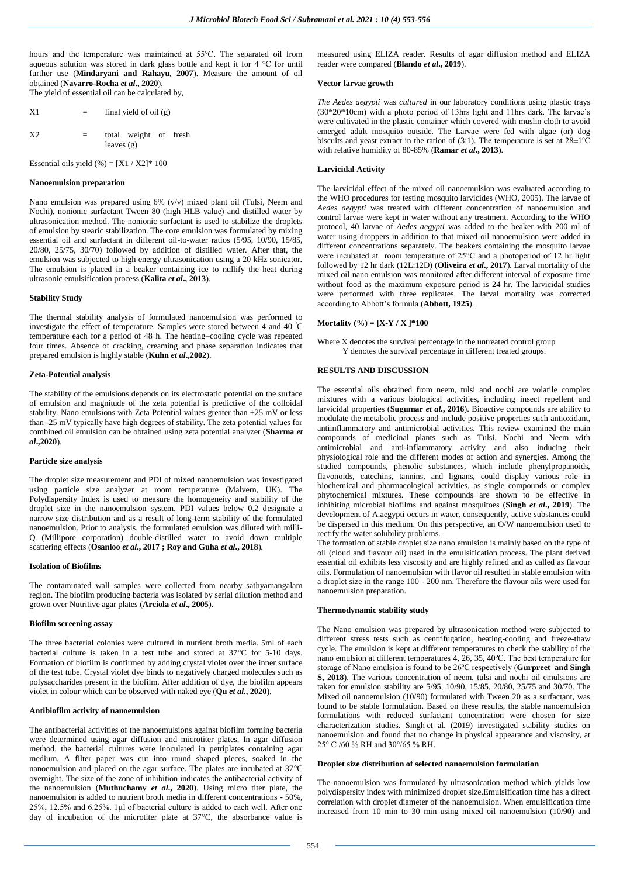hours and the temperature was maintained at 55℃. The separated oil from aqueous solution was stored in dark glass bottle and kept it for 4 °C for until further use (**Mindaryani and Rahayu, 2007**). Measure the amount of oil obtained (**Navarro-Rocha** *et al***., 2020**). The yield of essential oil can be calculated by,

| X1             | $=$ | final yield of oil $(g)$              |
|----------------|-----|---------------------------------------|
| X <sub>2</sub> | $=$ | total weight of fresh<br>leaves $(g)$ |

Essential oils yield  $(\%) = [X1 / X2] * 100$ 

#### **Nanoemulsion preparation**

Nano emulsion was prepared using 6% (v/v) mixed plant oil (Tulsi, Neem and Nochi), nonionic surfactant Tween 80 (high HLB value) and distilled water by ultrasonication method. The nonionic surfactant is used to stabilize the droplets of emulsion by stearic stabilization. The core emulsion was formulated by mixing essential oil and surfactant in different oil-to-water ratios (5/95, 10/90, 15/85, 20/80, 25/75, 30/70) followed by addition of distilled water. After that, the emulsion was subjected to high energy ultrasonication using a 20 kHz sonicator. The emulsion is placed in a beaker containing ice to nullify the heat during ultrasonic emulsification process (**Kalita** *et al***., 2013**).

## **Stability Study**

The thermal stability analysis of formulated nanoemulsion was performed to investigate the effect of temperature. Samples were stored between 4 and 40 <sup>º</sup>C temperature each for a period of 48 h. The heating–cooling cycle was repeated four times. Absence of cracking, creaming and phase separation indicates that prepared emulsion is highly stable (**Kuhn** *et al***.,2002**).

#### **Zeta-Potential analysis**

The stability of the emulsions depends on its electrostatic potential on the surface of emulsion and magnitude of the zeta potential is predictive of the colloidal stability. Nano emulsions with Zeta Potential values greater than  $+25$  mV or less than -25 mV typically have high degrees of stability. The zeta potential values for combined oil emulsion can be obtained using zeta potential analyzer (**Sharma** *et al***.,2020**).

### **Particle size analysis**

The droplet size measurement and PDI of mixed nanoemulsion was investigated using particle size analyzer at room temperature (Malvern, UK). The Polydispersity Index is used to measure the homogeneity and stability of the droplet size in the nanoemulsion system. PDI values below 0.2 designate a narrow size distribution and as a result of long-term stability of the formulated nanoemulsion. Prior to analysis, the formulated emulsion was diluted with milli-Q (Millipore corporation) double-distilled water to avoid down multiple scattering effects (**Osanloo** *et al***., 2017 ; Roy and Guha** *et al***., 2018**).

### **Isolation of Biofilms**

The contaminated wall samples were collected from nearby sathyamangalam region. The biofilm producing bacteria was isolated by serial dilution method and grown over Nutritive agar plates (**Arciola** *et al***., 2005**).

# **Biofilm screening assay**

The three bacterial colonies were cultured in nutrient broth media. 5ml of each bacterial culture is taken in a test tube and stored at  $37^{\circ}$ C for 5-10 days. Formation of biofilm is confirmed by adding crystal violet over the inner surface of the test tube. Crystal violet dye binds to negatively charged molecules such as polysaccharides present in the biofilm. After addition of dye, the biofilm appears violet in colour which can be observed with naked eye (**Qu** *et al***., 2020**).

# **Antibiofilm activity of nanoemulsion**

The antibacterial activities of the nanoemulsions against biofilm forming bacteria were determined using agar diffusion and microtiter plates. In agar diffusion method, the bacterial cultures were inoculated in petriplates containing agar medium. A filter paper was cut into round shaped pieces, soaked in the nanoemulsion and placed on the agar surface. The plates are incubated at  $37^{\circ}$ C overnight. The size of the zone of inhibition indicates the antibacterial activity of the nanoemulsion (**Muthuchamy** *et al***., 2020**). Using micro titer plate, the nanoemulsion is added to nutrient broth media in different concentrations - 50%, 25%, 12.5% and 6.25%. 1µl of bacterial culture is added to each well. After one day of incubation of the microtiter plate at  $37^{\circ}$ C, the absorbance value is

measured using ELIZA reader. Results of agar diffusion method and ELIZA reader were compared (**Blando** *et al***., 2019**).

#### **Vector larvae growth**

*The Aedes aegypti* was *cultured* in our laboratory conditions using plastic trays (30\*20\*10cm) with a photo period of 13hrs light and 11hrs dark. The larvae's were cultivated in the plastic container which covered with muslin cloth to avoid emerged adult mosquito outside. The Larvae were fed with algae (or) dog biscuits and yeast extract in the ration of  $(3:1)$ . The temperature is set at  $28\pm1\textdegree C$ with relative humidity of 80-85% (**Ramar** *et al***., 2013**).

#### **Larvicidal Activity**

The larvicidal effect of the mixed oil nanoemulsion was evaluated according to the WHO procedures for testing mosquito larvicides (WHO, 2005). The larvae of *Aedes aegypti* was treated with different concentration of nanoemulsion and control larvae were kept in water without any treatment. According to the WHO protocol, 40 larvae of *Aedes aegypti* was added to the beaker with 200 ml of water using droppers in addition to that mixed oil nanoemulsion were added in different concentrations separately. The beakers containing the mosquito larvae were incubated at room temperature of 25°C and a photoperiod of 12 hr light followed by 12 hr dark (12L:12D) (**Oliveira** *et al***., 2017**). Larval mortality of the mixed oil nano emulsion was monitored after different interval of exposure time without food as the maximum exposure period is 24 hr. The larvicidal studies were performed with three replicates. The larval mortality was corrected according to Abbott's formula (**Abbott, 1925**).

### **Mortality (%) = [X-Y / X ]\*100**

Where X denotes the survival percentage in the untreated control group Y denotes the survival percentage in different treated groups.

# **RESULTS AND DISCUSSION**

The essential oils obtained from neem, tulsi and nochi are volatile complex mixtures with a various biological activities, including insect repellent and larvicidal properties (**Sugumar** *et al***., 2016**). Bioactive compounds are ability to modulate the metabolic process and include positive properties such antioxidant, antiinflammatory and antimicrobial activities. This review examined the main compounds of medicinal plants such as Tulsi, Nochi and Neem with antimicrobial and anti-inflammatory activity and also inducing their physiological role and the different modes of action and synergies. Among the studied compounds, phenolic substances, which include phenylpropanoids, flavonoids, catechins, tannins, and lignans, could display various role in biochemical and pharmacological activities, as single compounds or complex phytochemical mixtures. These compounds are shown to be effective in inhibiting microbial biofilms and against mosquitoes (**Singh** *et al***., 2019**). The development of A.aegypti occurs in water, consequently, active substances could be dispersed in this medium. On this perspective, an O/W nanoemulsion used to rectify the water solubility problems.

The formation of stable droplet size nano emulsion is mainly based on the type of oil (cloud and flavour oil) used in the emulsification process. The plant derived essential oil exhibits less viscosity and are highly refined and as called as flavour oils. Formulation of nanoemulsion with flavor oil resulted in stable emulsion with a droplet size in the range 100 - 200 nm. Therefore the flavour oils were used for nanoemulsion preparation.

## **Thermodynamic stability study**

The Nano emulsion was prepared by ultrasonication method were subjected to different stress tests such as centrifugation, heating-cooling and freeze-thaw cycle. The emulsion is kept at different temperatures to check the stability of the nano emulsion at different temperatures 4, 26, 35, 40ºC. The best temperature for storage of Nano emulsion is found to be 26ºC respectively (**Gurpreet and Singh S, 2018**). The various concentration of neem, tulsi and nochi oil emulsions are taken for emulsion stability are 5/95, 10/90, 15/85, 20/80, 25/75 and 30/70. The Mixed oil nanoemulsion (10/90) formulated with Tween 20 as a surfactant, was found to be stable formulation. Based on these results, the stable nanoemulsion formulations with reduced surfactant concentration were chosen for size characterization studies. Singh et al. (2019) investigated stability studies on nanoemulsion and found that no change in physical appearance and viscosity, at 25° C /60 % RH and 30°/65 % RH.

### **Droplet size distribution of selected nanoemulsion formulation**

The nanoemulsion was formulated by ultrasonication method which yields low polydispersity index with minimized droplet size.Emulsification time has a direct correlation with droplet diameter of the nanoemulsion. When emulsification time increased from 10 min to 30 min using mixed oil nanoemulsion (10/90) and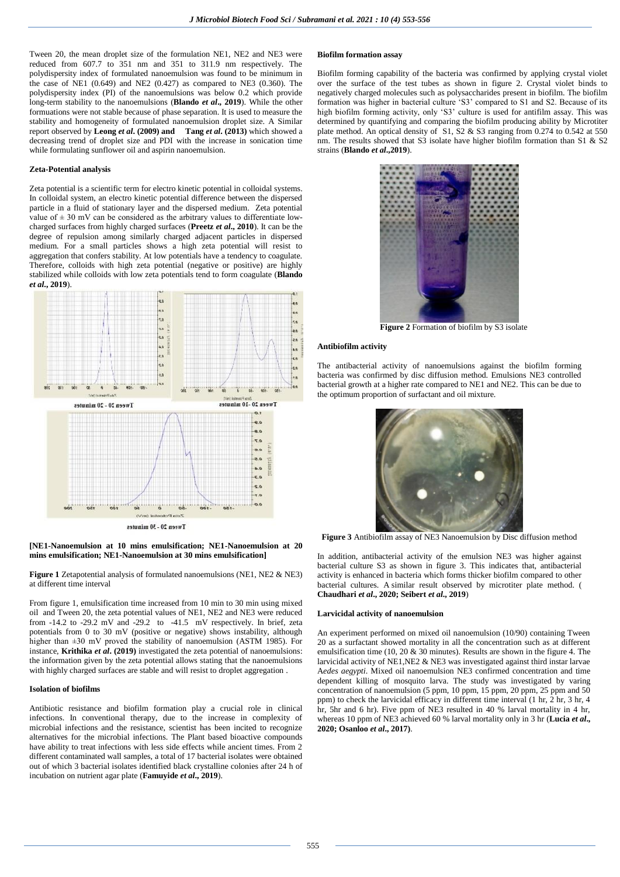Tween 20, the mean droplet size of the formulation NE1, NE2 and NE3 were reduced from 607.7 to 351 nm and 351 to 311.9 nm respectively. The polydispersity index of formulated nanoemulsion was found to be minimum in the case of NE1  $(0.649)$  and NE2  $(0.427)$  as compared to NE3  $(0.360)$ . The polydispersity index (PI) of the nanoemulsions was below 0.2 which provide long-term stability to the nanoemulsions (**Blando** *et al***., 2019**). While the other formuations were not stable because of phase separation. It is used to measure the stability and homogeneity of formulated nanoemulsion droplet size. A Similar report observed by **Leong** *et al***. (2009) and Tang** *et al***. (2013)** which showed a decreasing trend of droplet size and PDI with the increase in sonication time while formulating sunflower oil and aspirin nanoemulsion.

#### **Zeta-Potential analysis**

Zeta potential is a scientific term for electro kinetic potential in colloidal systems. In colloidal system, an electro kinetic potential difference between the dispersed particle in a fluid of stationary layer and the dispersed medium. Zeta potential value of  $\pm$  30 mV can be considered as the arbitrary values to differentiate lowcharged surfaces from highly charged surfaces (**Preetz** *et al***., 2010**). It can be the degree of repulsion among similarly charged adjacent particles in dispersed medium. For a small particles shows a high zeta potential will resist to aggregation that confers stability. At low potentials have a tendency to coagulate. Therefore, colloids with high zeta potential (negative or positive) are highly stabilized while colloids with low zeta potentials tend to form coagulate (**Blando**  *et al***., 2019**).



# **[NE1-Nanoemulsion at 10 mins emulsification; NE1-Nanoemulsion at 20 mins emulsification; NE1-Nanoemulsion at 30 mins emulsification]**

**Figure 1** Zetapotential analysis of formulated nanoemulsions (NE1, NE2 & NE3) at different time interval

From figure 1, emulsification time increased from 10 min to 30 min using mixed oil and Tween 20, the zeta potential values of NE1, NE2 and NE3 were reduced from -14.2 to -29.2 mV and -29.2 to -41.5 mV respectively. In brief, zeta potentials from 0 to 30 mV (positive or negative) shows instability, although higher than  $\pm 30$  mV proved the stability of nanoemulsion (ASTM 1985). For instance, **Krithika** *et al***. (2019)** investigated the zeta potential of nanoemulsions: the information given by the zeta potential allows stating that the nanoemulsions with highly charged surfaces are stable and will resist to droplet aggregation.

## **Isolation of biofilms**

Antibiotic resistance and biofilm formation play a crucial role in clinical infections. In conventional therapy, due to the increase in complexity of microbial infections and the resistance, scientist has been incited to recognize alternatives for the microbial infections. The Plant based bioactive compounds have ability to treat infections with less side effects while ancient times. From 2 different contaminated wall samples, a total of 17 bacterial isolates were obtained out of which 3 bacterial isolates identified black crystalline colonies after 24 h of incubation on nutrient agar plate (**Famuyide** *et al***., 2019**).

# **Biofilm formation assay**

Biofilm forming capability of the bacteria was confirmed by applying crystal violet over the surface of the test tubes as shown in figure 2. Crystal violet binds to negatively charged molecules such as polysaccharides present in biofilm. The biofilm formation was higher in bacterial culture 'S3' compared to S1 and S2. Because of its high biofilm forming activity, only 'S3' culture is used for antifilm assay. This was determined by quantifying and comparing the biofilm producing ability by Microtiter plate method. An optical density of S1, S2 & S3 ranging from 0.274 to 0.542 at 550 nm. The results showed that S3 isolate have higher biofilm formation than S1 & S2 strains (**Blando** *et al***.,2019**).



**Figure 2** Formation of biofilm by S3 isolate

# **Antibiofilm activity**

The antibacterial activity of nanoemulsions against the biofilm forming bacteria was confirmed by disc diffusion method. Emulsions NE3 controlled bacterial growth at a higher rate compared to NE1 and NE2. This can be due to the optimum proportion of surfactant and oil mixture.



**Figure 3** Antibiofilm assay of NE3 Nanoemulsion by Disc diffusion method

In addition, antibacterial activity of the emulsion NE3 was higher against bacterial culture S3 as shown in figure 3. This indicates that, antibacterial activity is enhanced in bacteria which forms thicker biofilm compared to other bacterial cultures. A similar result observed by microtiter plate method. ( **Chaudhari** *et al***., 2020; Seibert** *et al***., 2019**)

#### **Larvicidal activity of nanoemulsion**

An experiment performed on mixed oil nanoemulsion (10/90) containing Tween 20 as a surfactant showed mortality in all the concentration such as at different emulsification time (10, 20 & 30 minutes). Results are shown in the figure 4. The larvicidal activity of NE1,NE2 & NE3 was investigated against third instar larvae A*edes aegypti*. Mixed oil nanoemulsion NE3 confirmed concentration and time dependent killing of mosquito larva. The study was investigated by varing concentration of nanoemulsion (5 ppm, 10 ppm, 15 ppm, 20 ppm, 25 ppm and 50 ppm) to check the larvicidal efficacy in different time interval (1 hr, 2 hr, 3 hr, 4 hr, 5hr and 6 hr). Five ppm of NE3 resulted in 40 % larval mortality in 4 hr, whereas 10 ppm of NE3 achieved 60 % larval mortality only in 3 hr (**Lucia** *et al***., 2020; Osanloo** *et al***., 2017)**.